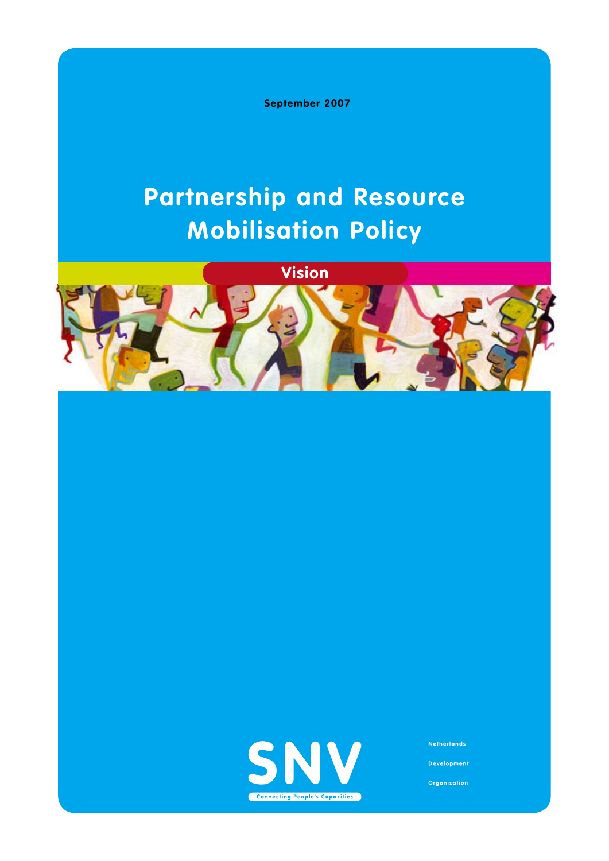**September 2007**

# **Partnership and Resource Mobilisation Policy**







**Netherlands** 

**Development** 

Organisation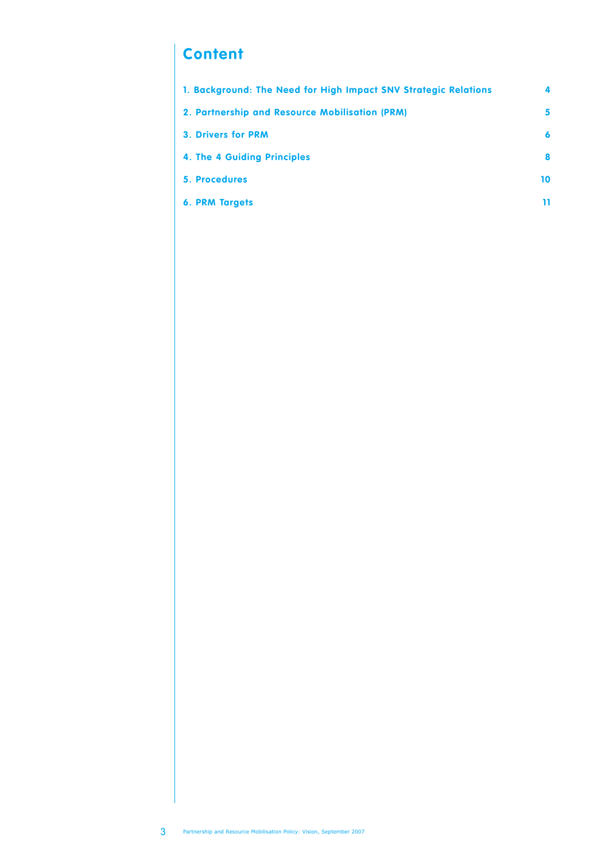# **Content**

| 1. Background: The Need for High Impact SNV Strategic Relations | 4  |
|-----------------------------------------------------------------|----|
| 2. Partnership and Resource Mobilisation (PRM)                  | 5  |
| <b>3. Drivers for PRM</b>                                       | 6  |
| 4. The 4 Guiding Principles                                     | 8  |
| <b>5. Procedures</b>                                            | 10 |
| <b>6. PRM Targets</b>                                           | 11 |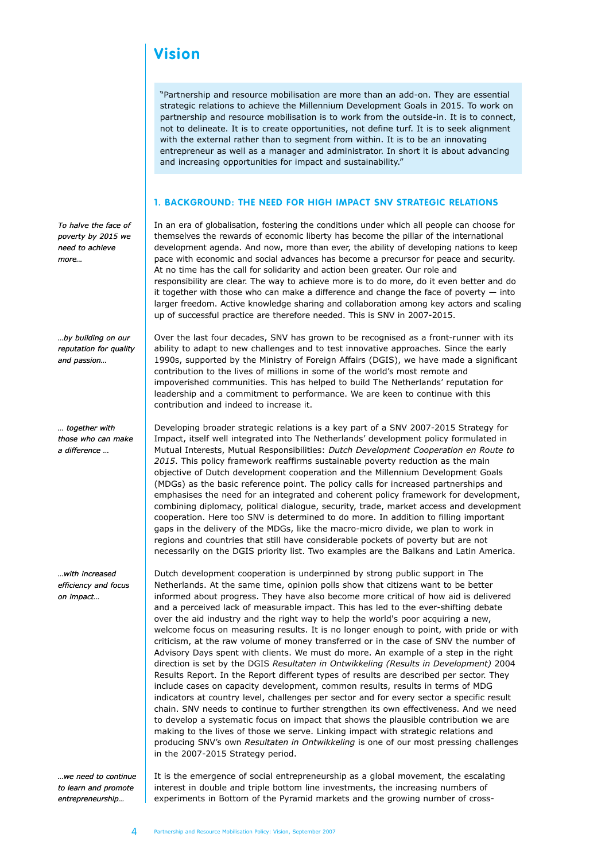# **Vision**

"Partnership and resource mobilisation are more than an add-on. They are essential strategic relations to achieve the Millennium Development Goals in 2015. To work on partnership and resource mobilisation is to work from the outside-in. It is to connect, not to delineate. It is to create opportunities, not define turf. It is to seek alignment with the external rather than to segment from within. It is to be an innovating entrepreneur as well as a manager and administrator. In short it is about advancing and increasing opportunities for impact and sustainability."

#### **1. BACKGROUND: THE NEED FOR HIGH IMPACT SNV STRATEGIC RELATIONS**

*To halve the face of poverty by 2015 we need to achieve more…*

*…by building on our reputation for quality and passion…* 

*… together with those who can make a difference …*

*…with increased efficiency and focus on impact…*

*…we need to continue to learn and promote entrepreneurship…*

In an era of globalisation, fostering the conditions under which all people can choose for themselves the rewards of economic liberty has become the pillar of the international development agenda. And now, more than ever, the ability of developing nations to keep pace with economic and social advances has become a precursor for peace and security. At no time has the call for solidarity and action been greater. Our role and responsibility are clear. The way to achieve more is to do more, do it even better and do it together with those who can make a difference and change the face of poverty  $-$  into larger freedom. Active knowledge sharing and collaboration among key actors and scaling up of successful practice are therefore needed. This is SNV in 2007-2015.

Over the last four decades, SNV has grown to be recognised as a front-runner with its ability to adapt to new challenges and to test innovative approaches. Since the early 1990s, supported by the Ministry of Foreign Affairs (DGIS), we have made a significant contribution to the lives of millions in some of the world's most remote and impoverished communities. This has helped to build The Netherlands' reputation for leadership and a commitment to performance. We are keen to continue with this contribution and indeed to increase it.

Developing broader strategic relations is a key part of a SNV 2007-2015 Strategy for Impact, itself well integrated into The Netherlands' development policy formulated in Mutual Interests, Mutual Responsibilities: *Dutch Development Cooperation en Route to 2015*. This policy framework reaffirms sustainable poverty reduction as the main objective of Dutch development cooperation and the Millennium Development Goals (MDGs) as the basic reference point. The policy calls for increased partnerships and emphasises the need for an integrated and coherent policy framework for development, combining diplomacy, political dialogue, security, trade, market access and development cooperation. Here too SNV is determined to do more. In addition to filling important gaps in the delivery of the MDGs, like the macro-micro divide, we plan to work in regions and countries that still have considerable pockets of poverty but are not necessarily on the DGIS priority list. Two examples are the Balkans and Latin America.

Dutch development cooperation is underpinned by strong public support in The Netherlands. At the same time, opinion polls show that citizens want to be better informed about progress. They have also become more critical of how aid is delivered and a perceived lack of measurable impact. This has led to the ever-shifting debate over the aid industry and the right way to help the world's poor acquiring a new, welcome focus on measuring results. It is no longer enough to point, with pride or with criticism, at the raw volume of money transferred or in the case of SNV the number of Advisory Days spent with clients. We must do more. An example of a step in the right direction is set by the DGIS *Resultaten in Ontwikkeling (Results in Development)* 2004 Results Report. In the Report different types of results are described per sector. They include cases on capacity development, common results, results in terms of MDG indicators at country level, challenges per sector and for every sector a specific result chain. SNV needs to continue to further strengthen its own effectiveness. And we need to develop a systematic focus on impact that shows the plausible contribution we are making to the lives of those we serve. Linking impact with strategic relations and producing SNV's own *Resultaten in Ontwikkeling* is one of our most pressing challenges in the 2007-2015 Strategy period.

It is the emergence of social entrepreneurship as a global movement, the escalating interest in double and triple bottom line investments, the increasing numbers of experiments in Bottom of the Pyramid markets and the growing number of cross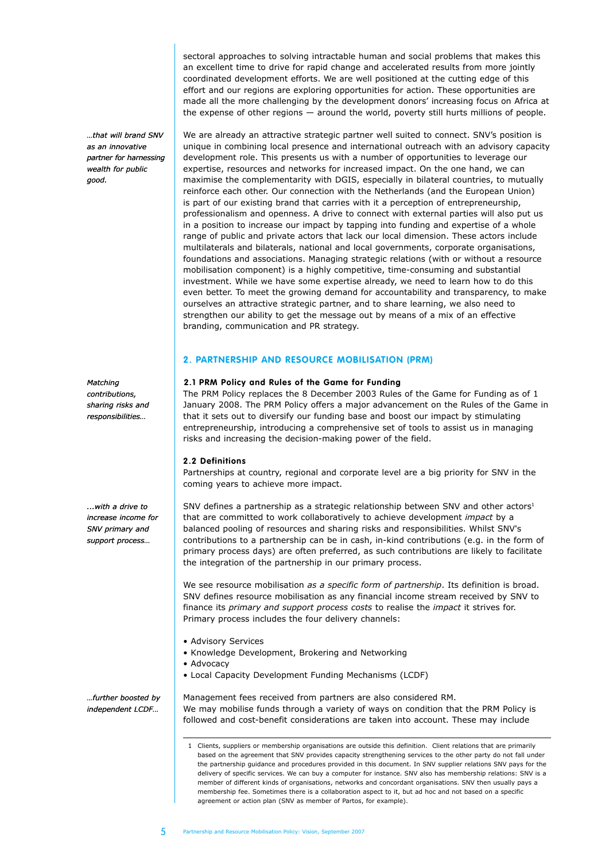*…that will brand SNV as an innovative partner for harnessing wealth for public good.*

*Matching contributions, sharing risks and responsibilities…*

*...with a drive to increase income for SNV primary and support process…*

*…further boosted by independent LCDF…*

sectoral approaches to solving intractable human and social problems that makes this an excellent time to drive for rapid change and accelerated results from more jointly coordinated development efforts. We are well positioned at the cutting edge of this effort and our regions are exploring opportunities for action. These opportunities are made all the more challenging by the development donors' increasing focus on Africa at the expense of other regions — around the world, poverty still hurts millions of people.

We are already an attractive strategic partner well suited to connect. SNV's position is unique in combining local presence and international outreach with an advisory capacity development role. This presents us with a number of opportunities to leverage our expertise, resources and networks for increased impact. On the one hand, we can maximise the complementarity with DGIS, especially in bilateral countries, to mutually reinforce each other. Our connection with the Netherlands (and the European Union) is part of our existing brand that carries with it a perception of entrepreneurship, professionalism and openness. A drive to connect with external parties will also put us in a position to increase our impact by tapping into funding and expertise of a whole range of public and private actors that lack our local dimension. These actors include multilaterals and bilaterals, national and local governments, corporate organisations, foundations and associations. Managing strategic relations (with or without a resource mobilisation component) is a highly competitive, time-consuming and substantial investment. While we have some expertise already, we need to learn how to do this even better. To meet the growing demand for accountability and transparency, to make ourselves an attractive strategic partner, and to share learning, we also need to strengthen our ability to get the message out by means of a mix of an effective branding, communication and PR strategy.

#### **2. PARTNERSHIP AND RESOURCE MOBILISATION (PRM)**

#### **2.1 PRM Policy and Rules of the Game for Funding**

The PRM Policy replaces the 8 December 2003 Rules of the Game for Funding as of 1 January 2008. The PRM Policy offers a major advancement on the Rules of the Game in that it sets out to diversify our funding base and boost our impact by stimulating entrepreneurship, introducing a comprehensive set of tools to assist us in managing risks and increasing the decision-making power of the field.

#### **2.2 Definitions**

Partnerships at country, regional and corporate level are a big priority for SNV in the coming years to achieve more impact.

SNV defines a partnership as a strategic relationship between SNV and other actors<sup>1</sup> that are committed to work collaboratively to achieve development *impact* by a balanced pooling of resources and sharing risks and responsibilities. Whilst SNV's contributions to a partnership can be in cash, in-kind contributions (e.g. in the form of primary process days) are often preferred, as such contributions are likely to facilitate the integration of the partnership in our primary process.

We see resource mobilisation *as a specific form of partnership*. Its definition is broad. SNV defines resource mobilisation as any financial income stream received by SNV to finance its *primary and support process costs* to realise the *impact* it strives for. Primary process includes the four delivery channels:

- Advisory Services
- Knowledge Development, Brokering and Networking
- Advocacy
- Local Capacity Development Funding Mechanisms (LCDF)

Management fees received from partners are also considered RM. We may mobilise funds through a variety of ways on condition that the PRM Policy is followed and cost-benefit considerations are taken into account. These may include

<sup>1</sup> Clients, suppliers or membership organisations are outside this definition. Client relations that are primarily based on the agreement that SNV provides capacity strengthening services to the other party do not fall under the partnership guidance and procedures provided in this document. In SNV supplier relations SNV pays for the delivery of specific services. We can buy a computer for instance. SNV also has membership relations: SNV is a member of different kinds of organisations, networks and concordant organisations. SNV then usually pays a membership fee. Sometimes there is a collaboration aspect to it, but ad hoc and not based on a specific agreement or action plan (SNV as member of Partos, for example).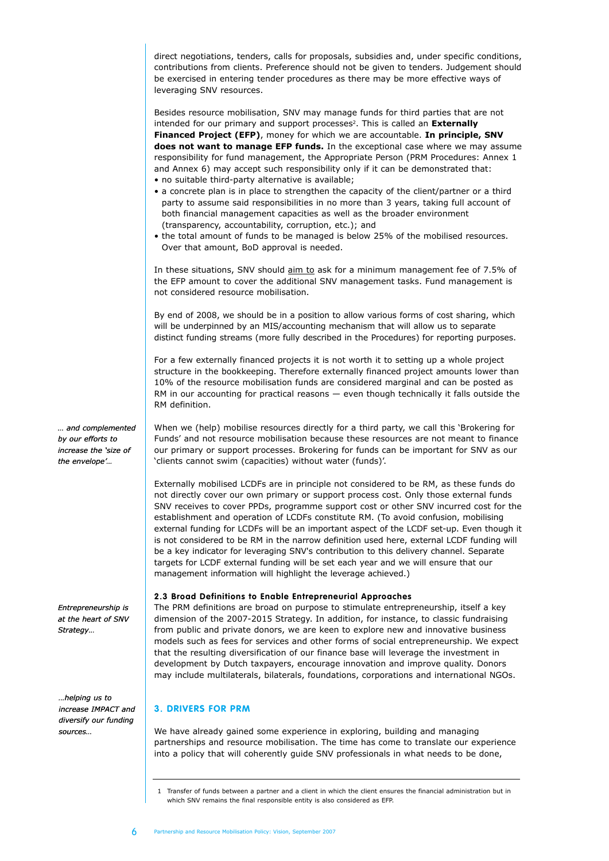direct negotiations, tenders, calls for proposals, subsidies and, under specific conditions, contributions from clients. Preference should not be given to tenders. Judgement should be exercised in entering tender procedures as there may be more effective ways of leveraging SNV resources.

Besides resource mobilisation, SNV may manage funds for third parties that are not intended for our primary and support processes<sup>2</sup>. This is called an **Externally Financed Project (EFP)**, money for which we are accountable. **In principle, SNV does not want to manage EFP funds.** In the exceptional case where we may assume responsibility for fund management, the Appropriate Person (PRM Procedures: Annex 1 and Annex 6) may accept such responsibility only if it can be demonstrated that:

- no suitable third-party alternative is available;
- a concrete plan is in place to strengthen the capacity of the client/partner or a third party to assume said responsibilities in no more than 3 years, taking full account of both financial management capacities as well as the broader environment (transparency, accountability, corruption, etc.); and
- the total amount of funds to be managed is below 25% of the mobilised resources. Over that amount, BoD approval is needed.

In these situations, SNV should aim to ask for a minimum management fee of 7.5% of the EFP amount to cover the additional SNV management tasks. Fund management is not considered resource mobilisation.

By end of 2008, we should be in a position to allow various forms of cost sharing, which will be underpinned by an MIS/accounting mechanism that will allow us to separate distinct funding streams (more fully described in the Procedures) for reporting purposes.

For a few externally financed projects it is not worth it to setting up a whole project structure in the bookkeeping. Therefore externally financed project amounts lower than 10% of the resource mobilisation funds are considered marginal and can be posted as RM in our accounting for practical reasons — even though technically it falls outside the RM definition.

When we (help) mobilise resources directly for a third party, we call this 'Brokering for Funds' and not resource mobilisation because these resources are not meant to finance our primary or support processes. Brokering for funds can be important for SNV as our 'clients cannot swim (capacities) without water (funds)'.

Externally mobilised LCDFs are in principle not considered to be RM, as these funds do not directly cover our own primary or support process cost. Only those external funds SNV receives to cover PPDs, programme support cost or other SNV incurred cost for the establishment and operation of LCDFs constitute RM. (To avoid confusion, mobilising external funding for LCDFs will be an important aspect of the LCDF set-up. Even though it is not considered to be RM in the narrow definition used here, external LCDF funding will be a key indicator for leveraging SNV's contribution to this delivery channel. Separate targets for LCDF external funding will be set each year and we will ensure that our management information will highlight the leverage achieved.)

#### **2.3 Broad Definitions to Enable Entrepreneurial Approaches**

The PRM definitions are broad on purpose to stimulate entrepreneurship, itself a key dimension of the 2007-2015 Strategy. In addition, for instance, to classic fundraising from public and private donors, we are keen to explore new and innovative business models such as fees for services and other forms of social entrepreneurship. We expect that the resulting diversification of our finance base will leverage the investment in development by Dutch taxpayers, encourage innovation and improve quality. Donors may include multilaterals, bilaterals, foundations, corporations and international NGOs.

# **3. DRIVERS FOR PRM**

We have already gained some experience in exploring, building and managing partnerships and resource mobilisation. The time has come to translate our experience into a policy that will coherently guide SNV professionals in what needs to be done,

1 Transfer of funds between a partner and a client in which the client ensures the financial administration but in which SNV remains the final responsible entity is also considered as EFP.

*… and complemented by our efforts to increase the 'size of the envelope'…*

*Entrepreneurship is at the heart of SNV Strategy…*

*…helping us to increase IMPACT and diversify our funding sources…*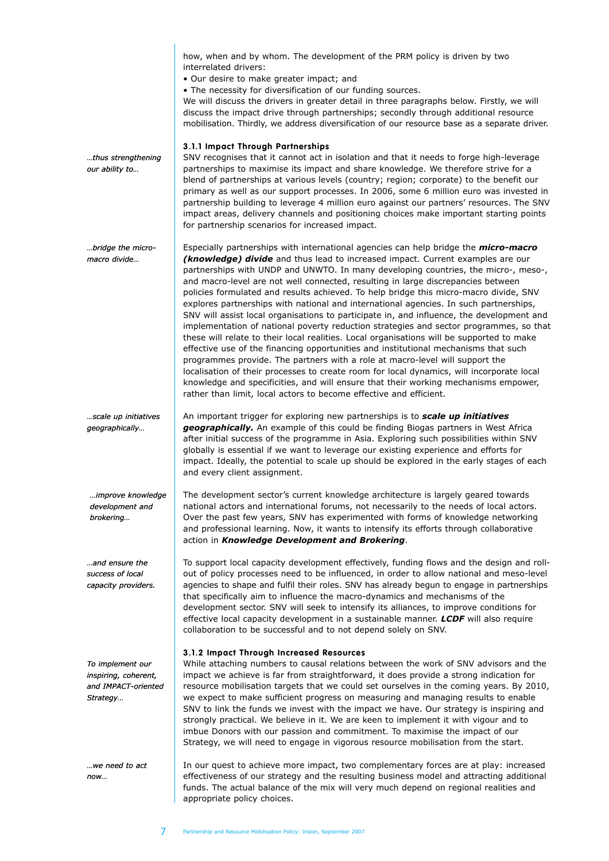|                                                                             | how, when and by whom. The development of the PRM policy is driven by two<br>interrelated drivers:<br>· Our desire to make greater impact; and<br>• The necessity for diversification of our funding sources.<br>We will discuss the drivers in greater detail in three paragraphs below. Firstly, we will<br>discuss the impact drive through partnerships; secondly through additional resource<br>mobilisation. Thirdly, we address diversification of our resource base as a separate driver.                                                                                                                                                                                                                                                                                                                                                                                                                                                                                                                                                                                                                                                                                                                                                             |
|-----------------------------------------------------------------------------|---------------------------------------------------------------------------------------------------------------------------------------------------------------------------------------------------------------------------------------------------------------------------------------------------------------------------------------------------------------------------------------------------------------------------------------------------------------------------------------------------------------------------------------------------------------------------------------------------------------------------------------------------------------------------------------------------------------------------------------------------------------------------------------------------------------------------------------------------------------------------------------------------------------------------------------------------------------------------------------------------------------------------------------------------------------------------------------------------------------------------------------------------------------------------------------------------------------------------------------------------------------|
| thus strengthening<br>our ability to                                        | 3.1.1 Impact Through Partnerships<br>SNV recognises that it cannot act in isolation and that it needs to forge high-leverage<br>partnerships to maximise its impact and share knowledge. We therefore strive for a<br>blend of partnerships at various levels (country; region; corporate) to the benefit our<br>primary as well as our support processes. In 2006, some 6 million euro was invested in<br>partnership building to leverage 4 million euro against our partners' resources. The SNV<br>impact areas, delivery channels and positioning choices make important starting points<br>for partnership scenarios for increased impact.                                                                                                                                                                                                                                                                                                                                                                                                                                                                                                                                                                                                              |
| --bridge the micro<br>macro divide                                          | Especially partnerships with international agencies can help bridge the <i>micro-macro</i><br>(knowledge) divide and thus lead to increased impact. Current examples are our<br>partnerships with UNDP and UNWTO. In many developing countries, the micro-, meso-,<br>and macro-level are not well connected, resulting in large discrepancies between<br>policies formulated and results achieved. To help bridge this micro-macro divide, SNV<br>explores partnerships with national and international agencies. In such partnerships,<br>SNV will assist local organisations to participate in, and influence, the development and<br>implementation of national poverty reduction strategies and sector programmes, so that<br>these will relate to their local realities. Local organisations will be supported to make<br>effective use of the financing opportunities and institutional mechanisms that such<br>programmes provide. The partners with a role at macro-level will support the<br>localisation of their processes to create room for local dynamics, will incorporate local<br>knowledge and specificities, and will ensure that their working mechanisms empower,<br>rather than limit, local actors to become effective and efficient. |
| scale up initiatives<br>geographically                                      | An important trigger for exploring new partnerships is to scale up initiatives<br>geographically. An example of this could be finding Biogas partners in West Africa<br>after initial success of the programme in Asia. Exploring such possibilities within SNV<br>globally is essential if we want to leverage our existing experience and efforts for<br>impact. Ideally, the potential to scale up should be explored in the early stages of each<br>and every client assignment.                                                                                                                                                                                                                                                                                                                                                                                                                                                                                                                                                                                                                                                                                                                                                                          |
| improve knowledge<br>development and<br>brokering                           | The development sector's current knowledge architecture is largely geared towards<br>national actors and international forums, not necessarily to the needs of local actors.<br>Over the past few years, SNV has experimented with forms of knowledge networking<br>and professional learning. Now, it wants to intensify its efforts through collaborative<br>action in Knowledge Development and Brokering.                                                                                                                                                                                                                                                                                                                                                                                                                                                                                                                                                                                                                                                                                                                                                                                                                                                 |
| and ensure the<br>success of local<br>capacity providers.                   | To support local capacity development effectively, funding flows and the design and roll-<br>out of policy processes need to be influenced, in order to allow national and meso-level<br>agencies to shape and fulfil their roles. SNV has already begun to engage in partnerships<br>that specifically aim to influence the macro-dynamics and mechanisms of the<br>development sector. SNV will seek to intensify its alliances, to improve conditions for<br>effective local capacity development in a sustainable manner. LCDF will also require<br>collaboration to be successful and to not depend solely on SNV.                                                                                                                                                                                                                                                                                                                                                                                                                                                                                                                                                                                                                                       |
| To implement our<br>inspiring, coherent,<br>and IMPACT-oriented<br>Strategy | 3.1.2 Impact Through Increased Resources<br>While attaching numbers to causal relations between the work of SNV advisors and the<br>impact we achieve is far from straightforward, it does provide a strong indication for<br>resource mobilisation targets that we could set ourselves in the coming years. By 2010,<br>we expect to make sufficient progress on measuring and managing results to enable<br>SNV to link the funds we invest with the impact we have. Our strategy is inspiring and<br>strongly practical. We believe in it. We are keen to implement it with vigour and to<br>imbue Donors with our passion and commitment. To maximise the impact of our<br>Strategy, we will need to engage in vigorous resource mobilisation from the start.                                                                                                                                                                                                                                                                                                                                                                                                                                                                                             |
| we need to act<br>now                                                       | In our quest to achieve more impact, two complementary forces are at play: increased<br>effectiveness of our strategy and the resulting business model and attracting additional<br>funds. The actual balance of the mix will very much depend on regional realities and<br>appropriate policy choices.                                                                                                                                                                                                                                                                                                                                                                                                                                                                                                                                                                                                                                                                                                                                                                                                                                                                                                                                                       |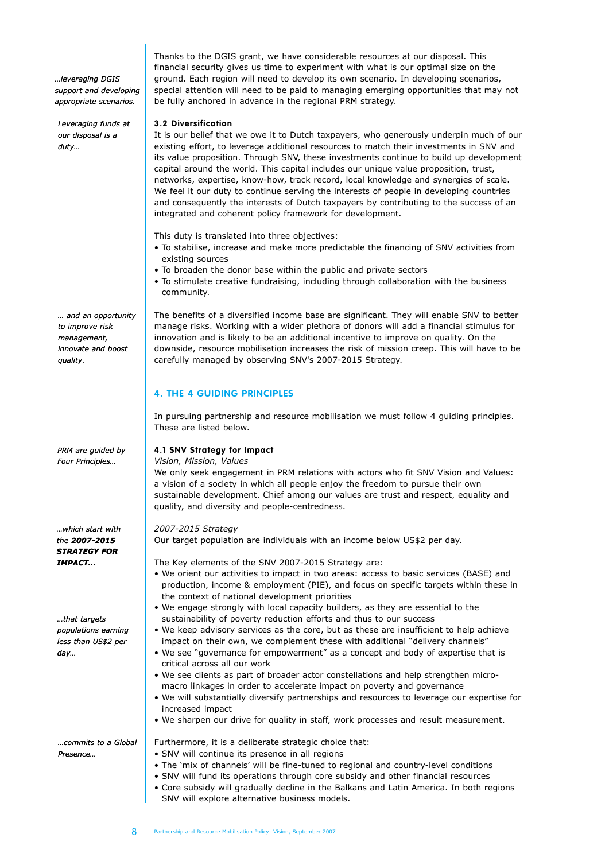*…leveraging DGIS support and developing appropriate scenarios.*

*Leveraging funds at our disposal is a duty…*

*… and an opportunity to improve risk management, innovate and boost quality.*

*PRM are guided by Four Principles…*

*…which start with the 2007-2015 STRATEGY FOR IMPACT…*

*…that targets populations earning less than US\$2 per day…*

Thanks to the DGIS grant, we have considerable resources at our disposal. This financial security gives us time to experiment with what is our optimal size on the ground. Each region will need to develop its own scenario. In developing scenarios, special attention will need to be paid to managing emerging opportunities that may not be fully anchored in advance in the regional PRM strategy.

#### **3.2 Diversification**

It is our belief that we owe it to Dutch taxpayers, who generously underpin much of our existing effort, to leverage additional resources to match their investments in SNV and its value proposition. Through SNV, these investments continue to build up development capital around the world. This capital includes our unique value proposition, trust, networks, expertise, know-how, track record, local knowledge and synergies of scale. We feel it our duty to continue serving the interests of people in developing countries and consequently the interests of Dutch taxpayers by contributing to the success of an integrated and coherent policy framework for development.

This duty is translated into three objectives:

- To stabilise, increase and make more predictable the financing of SNV activities from existing sources
- To broaden the donor base within the public and private sectors
- To stimulate creative fundraising, including through collaboration with the business community.

The benefits of a diversified income base are significant. They will enable SNV to better manage risks. Working with a wider plethora of donors will add a financial stimulus for innovation and is likely to be an additional incentive to improve on quality. On the downside, resource mobilisation increases the risk of mission creep. This will have to be carefully managed by observing SNV's 2007-2015 Strategy.

## **4. THE 4 GUIDING PRINCIPLES**

In pursuing partnership and resource mobilisation we must follow 4 guiding principles. These are listed below.

#### **4.1 SNV Strategy for Impact**

*Vision, Mission, Values*

We only seek engagement in PRM relations with actors who fit SNV Vision and Values: a vision of a society in which all people enjoy the freedom to pursue their own sustainable development. Chief among our values are trust and respect, equality and quality, and diversity and people-centredness.

# *2007-2015 Strategy*

Our target population are individuals with an income below US\$2 per day.

The Key elements of the SNV 2007-2015 Strategy are:

Furthermore, it is a deliberate strategic choice that:

- We orient our activities to impact in two areas: access to basic services (BASE) and production, income & employment (PIE), and focus on specific targets within these in the context of national development priorities
- We engage strongly with local capacity builders, as they are essential to the sustainability of poverty reduction efforts and thus to our success
- We keep advisory services as the core, but as these are insufficient to help achieve impact on their own, we complement these with additional "delivery channels"
- We see "governance for empowerment" as a concept and body of expertise that is critical across all our work
- We see clients as part of broader actor constellations and help strengthen micromacro linkages in order to accelerate impact on poverty and governance
- We will substantially diversify partnerships and resources to leverage our expertise for increased impact
- We sharpen our drive for quality in staff, work processes and result measurement.

*…commits to a Global Presence…*

- SNV will continue its presence in all regions • The 'mix of channels' will be fine-tuned to regional and country-level conditions
- SNV will fund its operations through core subsidy and other financial resources
- Core subsidy will gradually decline in the Balkans and Latin America. In both regions SNV will explore alternative business models.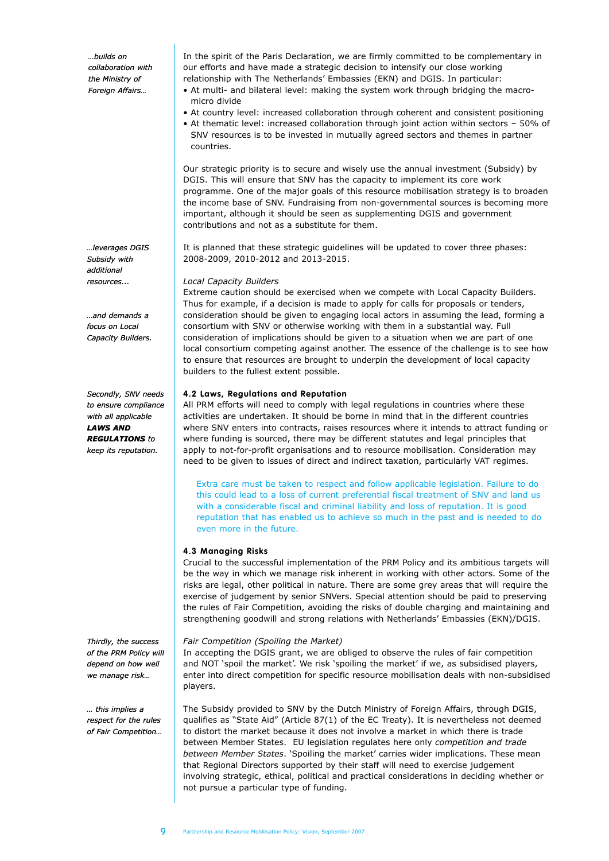*…builds on collaboration with the Ministry of Foreign Affairs…*

*…leverages DGIS Subsidy with additional resources...*

*…and demands a focus on Local Capacity Builders.*

*Secondly, SNV needs to ensure compliance with all applicable LAWS AND REGULATIONS to keep its reputation.*

*Thirdly, the success of the PRM Policy will depend on how well we manage risk…*

*… this implies a respect for the rules of Fair Competition…*

In the spirit of the Paris Declaration, we are firmly committed to be complementary in our efforts and have made a strategic decision to intensify our close working relationship with The Netherlands' Embassies (EKN) and DGIS. In particular:

- At multi- and bilateral level: making the system work through bridging the macromicro divide
- At country level: increased collaboration through coherent and consistent positioning
- At thematic level: increased collaboration through joint action within sectors 50% of SNV resources is to be invested in mutually agreed sectors and themes in partner countries.

Our strategic priority is to secure and wisely use the annual investment (Subsidy) by DGIS. This will ensure that SNV has the capacity to implement its core work programme. One of the major goals of this resource mobilisation strategy is to broaden the income base of SNV. Fundraising from non-governmental sources is becoming more important, although it should be seen as supplementing DGIS and government contributions and not as a substitute for them.

It is planned that these strategic guidelines will be updated to cover three phases: 2008-2009, 2010-2012 and 2013-2015.

#### *Local Capacity Builders*

Extreme caution should be exercised when we compete with Local Capacity Builders. Thus for example, if a decision is made to apply for calls for proposals or tenders, consideration should be given to engaging local actors in assuming the lead, forming a consortium with SNV or otherwise working with them in a substantial way. Full consideration of implications should be given to a situation when we are part of one local consortium competing against another. The essence of the challenge is to see how to ensure that resources are brought to underpin the development of local capacity builders to the fullest extent possible.

#### **4.2 Laws, Regulations and Reputation**

All PRM efforts will need to comply with legal regulations in countries where these activities are undertaken. It should be borne in mind that in the different countries where SNV enters into contracts, raises resources where it intends to attract funding or where funding is sourced, there may be different statutes and legal principles that apply to not-for-profit organisations and to resource mobilisation. Consideration may need to be given to issues of direct and indirect taxation, particularly VAT regimes.

 Extra care must be taken to respect and follow applicable legislation. Failure to do this could lead to a loss of current preferential fiscal treatment of SNV and land us with a considerable fiscal and criminal liability and loss of reputation. It is good reputation that has enabled us to achieve so much in the past and is needed to do even more in the future.

#### **4.3 Managing Risks**

Crucial to the successful implementation of the PRM Policy and its ambitious targets will be the way in which we manage risk inherent in working with other actors. Some of the risks are legal, other political in nature. There are some grey areas that will require the exercise of judgement by senior SNVers. Special attention should be paid to preserving the rules of Fair Competition, avoiding the risks of double charging and maintaining and strengthening goodwill and strong relations with Netherlands' Embassies (EKN)/DGIS.

#### *Fair Competition (Spoiling the Market)*

In accepting the DGIS grant, we are obliged to observe the rules of fair competition and NOT 'spoil the market'. We risk 'spoiling the market' if we, as subsidised players, enter into direct competition for specific resource mobilisation deals with non-subsidised players.

The Subsidy provided to SNV by the Dutch Ministry of Foreign Affairs, through DGIS, qualifies as "State Aid" (Article 87(1) of the EC Treaty). It is nevertheless not deemed to distort the market because it does not involve a market in which there is trade between Member States. EU legislation regulates here only *competition and trade between Member States*. 'Spoiling the market' carries wider implications. These mean that Regional Directors supported by their staff will need to exercise judgement involving strategic, ethical, political and practical considerations in deciding whether or not pursue a particular type of funding.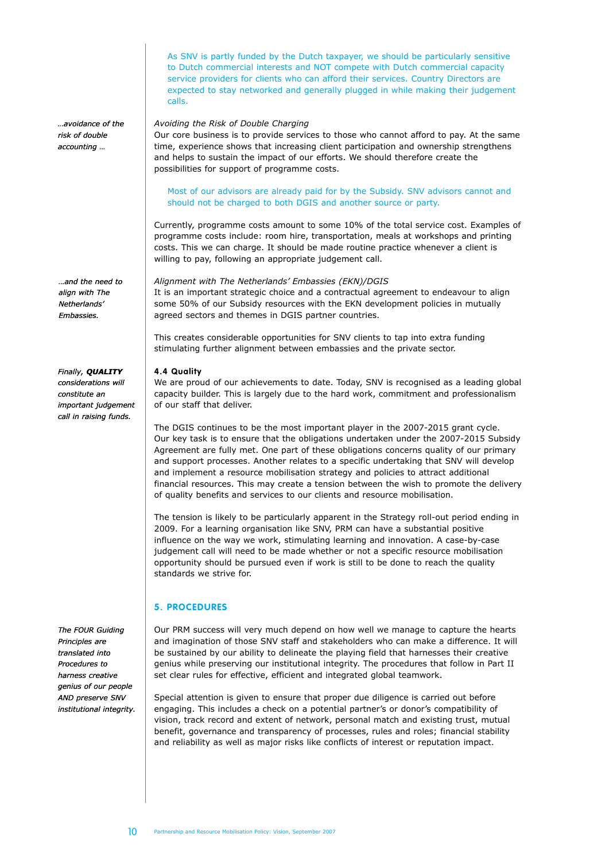As SNV is partly funded by the Dutch taxpayer, we should be particularly sensitive to Dutch commercial interests and NOT compete with Dutch commercial capacity service providers for clients who can afford their services. Country Directors are expected to stay networked and generally plugged in while making their judgement calls.

*…avoidance of the risk of double accounting …*

*…and the need to* 

*align with The Netherlands' Embassies.*

#### *Finally, QUALITY*

*considerations will constitute an important judgement call in raising funds.*

*The FOUR Guiding Principles are translated into Procedures to harness creative genius of our people AND preserve SNV institutional integrity.*

## *Avoiding the Risk of Double Charging*

Our core business is to provide services to those who cannot afford to pay. At the same time, experience shows that increasing client participation and ownership strengthens and helps to sustain the impact of our efforts. We should therefore create the possibilities for support of programme costs.

#### Most of our advisors are already paid for by the Subsidy. SNV advisors cannot and should not be charged to both DGIS and another source or party.

Currently, programme costs amount to some 10% of the total service cost. Examples of programme costs include: room hire, transportation, meals at workshops and printing costs. This we can charge. It should be made routine practice whenever a client is willing to pay, following an appropriate judgement call.

#### *Alignment with The Netherlands' Embassies (EKN)/DGIS*

It is an important strategic choice and a contractual agreement to endeavour to align some 50% of our Subsidy resources with the EKN development policies in mutually agreed sectors and themes in DGIS partner countries.

This creates considerable opportunities for SNV clients to tap into extra funding stimulating further alignment between embassies and the private sector.

#### **4.4 Quality**

We are proud of our achievements to date. Today, SNV is recognised as a leading global capacity builder. This is largely due to the hard work, commitment and professionalism of our staff that deliver.

The DGIS continues to be the most important player in the 2007-2015 grant cycle. Our key task is to ensure that the obligations undertaken under the 2007-2015 Subsidy Agreement are fully met. One part of these obligations concerns quality of our primary and support processes. Another relates to a specific undertaking that SNV will develop and implement a resource mobilisation strategy and policies to attract additional financial resources. This may create a tension between the wish to promote the delivery of quality benefits and services to our clients and resource mobilisation.

The tension is likely to be particularly apparent in the Strategy roll-out period ending in 2009. For a learning organisation like SNV, PRM can have a substantial positive influence on the way we work, stimulating learning and innovation. A case-by-case judgement call will need to be made whether or not a specific resource mobilisation opportunity should be pursued even if work is still to be done to reach the quality standards we strive for.

## **5. PROCEDURES**

Our PRM success will very much depend on how well we manage to capture the hearts and imagination of those SNV staff and stakeholders who can make a difference. It will be sustained by our ability to delineate the playing field that harnesses their creative genius while preserving our institutional integrity. The procedures that follow in Part II set clear rules for effective, efficient and integrated global teamwork.

Special attention is given to ensure that proper due diligence is carried out before engaging. This includes a check on a potential partner's or donor's compatibility of vision, track record and extent of network, personal match and existing trust, mutual benefit, governance and transparency of processes, rules and roles; financial stability and reliability as well as major risks like conflicts of interest or reputation impact.